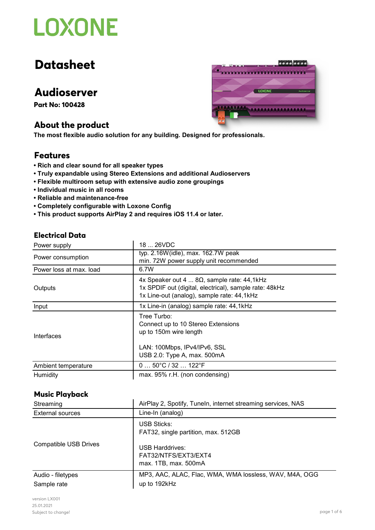# **Datasheet**

# **Audioserver**

**Part No: 100428**

## **About the product**

**The most flexible audio solution for any building. Designed for professionals.**

### **Features**

- **Rich and clear sound for all speaker types**
- **Truly expandable using Stereo Extensions and additional Audioservers**
- **Flexible multiroom setup with extensive audio zone groupings**
- **Individual music in all rooms**
- **Reliable and maintenance-free**
- **Completely configurable with Loxone Config**
- **This product supports AirPlay 2 and requires iOS 11.4 or later.**

### **Electrical Data**

| Power supply            | 18  26VDC                                                                                                                                                 |
|-------------------------|-----------------------------------------------------------------------------------------------------------------------------------------------------------|
| Power consumption       | typ. 2.16W(idle), max. 162.7W peak<br>min. 72W power supply unit recommended                                                                              |
| Power loss at max. load | 6.7W                                                                                                                                                      |
| Outputs                 | 4x Speaker out 4 $8\Omega$ , sample rate: 44,1kHz<br>1x SPDIF out (digital, electrical), sample rate: 48kHz<br>1x Line-out (analog), sample rate: 44,1kHz |
| Input                   | 1x Line-in (analog) sample rate: 44,1kHz                                                                                                                  |
| Interfaces              | Tree Turbo:<br>Connect up to 10 Stereo Extensions<br>up to 150m wire length<br>LAN: 100Mbps, IPv4/IPv6, SSL<br>USB 2.0: Type A, max. 500mA                |
| Ambient temperature     | $050^{\circ}C/32122^{\circ}F$                                                                                                                             |
| Humidity                | max. 95% r.H. (non condensing)                                                                                                                            |

#### **Music Playback**

| Streaming                    | AirPlay 2, Spotify, TuneIn, internet streaming services, NAS           |
|------------------------------|------------------------------------------------------------------------|
| External sources             | Line-In (analog)                                                       |
|                              | USB Sticks:<br>FAT32, single partition, max. 512GB                     |
| <b>Compatible USB Drives</b> | <b>USB Harddrives:</b><br>FAT32/NTFS/EXT3/EXT4<br>max. 1TB, max. 500mA |
| Audio - filetypes            | MP3, AAC, ALAC, Flac, WMA, WMA lossless, WAV, M4A, OGG                 |
| Sample rate                  | up to 192kHz                                                           |

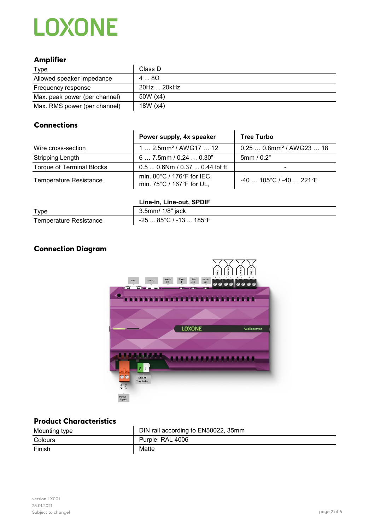### **Amplifier**

| Type                          | Class D     |
|-------------------------------|-------------|
| Allowed speaker impedance     | $48\Omega$  |
| Frequency response            | 20Hz  20kHz |
| Max. peak power (per channel) | 50W (x4)    |
| Max. RMS power (per channel)  | 18W (x4)    |

### **Connections**

|                                  | Power supply, 4x speaker                                | <b>Tree Turbo</b>                     |
|----------------------------------|---------------------------------------------------------|---------------------------------------|
| Wire cross-section               | $1 2.5$ mm <sup>2</sup> / AWG17  12                     | $0.250.8$ mm <sup>2</sup> / AWG23  18 |
| Stripping Length                 | $6 7.5$ mm / 0.24 $ 0.30"$                              | 5mm/0.2"                              |
| <b>Torque of Terminal Blocks</b> | $0.50.6$ Nm / $0.370.44$ lbf ft                         |                                       |
| <b>Temperature Resistance</b>    | min. 80°C / 176°F for IEC,<br>min. 75°C / 167°F for UL, | $-40$ 105°C / -40  221°F              |

 $\ddot{\phantom{a}}$ 

#### **Line-in, Line-out, SPDIF**

| Type                   | 3.5mm/ 1/8" jack                          |
|------------------------|-------------------------------------------|
| Temperature Resistance | $-2585^{\circ}$ C / -13  185 $^{\circ}$ F |

## **Connection Diagram**



## **Product Characteristics**

| Mounting type | DIN rail according to EN50022, 35mm |
|---------------|-------------------------------------|
| Colours       | Purple: RAL 4006                    |
| Finish        | Matte                               |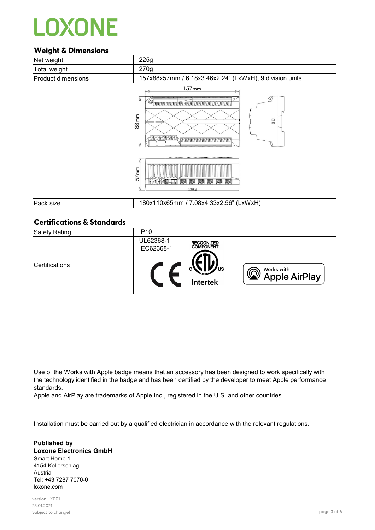### **Weight & Dimensions**



#### UL62368-1 **RECOGNIZED**<br>COMPONENT IEC62368-1 **Certifications**  $\mathcal{C}$  $\circledcirc$ Works with **Apple AirPlay**

Use of the Works with Apple badge means that an accessory has been designed to work specifically with the technology identified in the badge and has been certified by the developer to meet Apple performance standards.

Apple and AirPlay are trademarks of Apple Inc., registered in the U.S. and other countries.

Installation must be carried out by a qualified electrician in accordance with the relevant regulations.

**Published by Loxone Electronics GmbH** Smart Home 1 4154 Kollerschlag Austria Tel: +43 7287 7070-0 loxone.com

version LX001 25.01.2021 Subject to change! page 3 of 6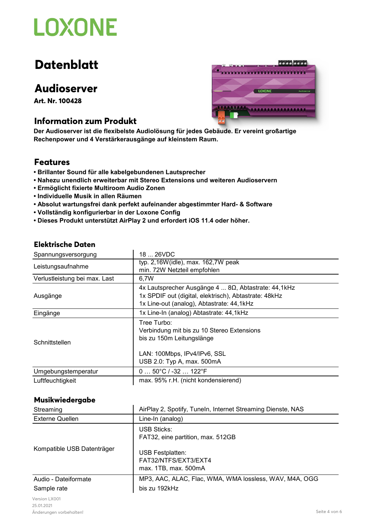# **Datenblatt**

# **Audioserver**

**Art. Nr. 100428**

## **Information zum Produkt**

aaaaaaaa ........................ LOXONE

**Der Audioserver ist die flexibelste Audiolösung für jedes Gebäude. Er vereint großartige Rechenpower und 4 Verstärkerausgänge auf kleinstem Raum.**

## **Features**

- **Brillanter Sound für alle kabelgebundenen Lautsprecher**
- **Nahezu unendlich erweiterbar mit Stereo Extensions und weiteren Audioservern**
- **Ermöglicht fixierte Multiroom Audio Zonen**
- **Individuelle Musik in allen Räumen**
- **Absolut wartungsfrei dank perfekt aufeinander abgestimmter Hard- & Software**
- **Vollständig konfigurierbar in der Loxone Config**
- **Dieses Produkt unterstützt AirPlay 2 und erfordert iOS 11.4 oder höher.**

#### **Elektrische Daten**

| Spannungsversorgung           | 18  26VDC                                                                                                                                                         |
|-------------------------------|-------------------------------------------------------------------------------------------------------------------------------------------------------------------|
| Leistungsaufnahme             | typ. 2,16W(idle), max. 162,7W peak<br>min. 72W Netzteil empfohlen                                                                                                 |
| Verlustleistung bei max. Last | 6,7W                                                                                                                                                              |
| Ausgänge                      | $4x$ Lautsprecher Ausgänge $48\Omega$ , Abtastrate: 44,1kHz<br>1x SPDIF out (digital, elektrisch), Abtastrate: 48kHz<br>1x Line-out (analog), Abtastrate: 44,1kHz |
| Eingänge                      | 1x Line-In (analog) Abtastrate: 44,1kHz                                                                                                                           |
| Schnittstellen                | Tree Turbo:<br>Verbindung mit bis zu 10 Stereo Extensions<br>bis zu 150m Leitungslänge                                                                            |
|                               | LAN: 100Mbps, IPv4/IPv6, SSL<br>USB 2.0: Typ A, max. 500mA                                                                                                        |
| Umgebungstemperatur           | $050^{\circ}C/ -32122^{\circ}F$                                                                                                                                   |
| Luftfeuchtigkeit              | max. 95% r.H. (nicht kondensierend)                                                                                                                               |

#### **Musikwiedergabe**

| Streaming                  | AirPlay 2, Spotify, Tuneln, Internet Streaming Dienste, NAS             |
|----------------------------|-------------------------------------------------------------------------|
| <b>Externe Quellen</b>     | Line-In (analog)                                                        |
|                            | <b>USB Sticks:</b><br>FAT32, eine partition, max. 512GB                 |
| Kompatible USB Datenträger | <b>USB Festplatten:</b><br>FAT32/NTFS/EXT3/EXT4<br>max. 1TB, max. 500mA |
| Audio - Dateiformate       | MP3, AAC, ALAC, Flac, WMA, WMA lossless, WAV, M4A, OGG                  |
| Sample rate                | bis zu 192kHz                                                           |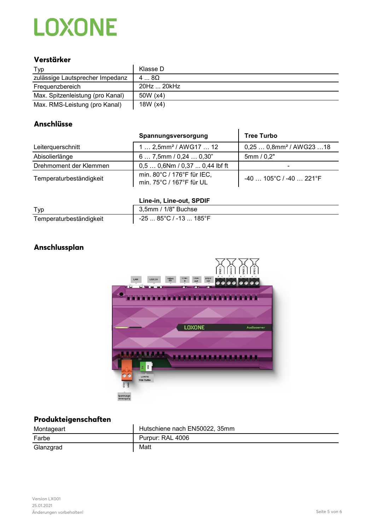### **Verstärker**

| Typ                              | Klasse D    |
|----------------------------------|-------------|
| zulässige Lautsprecher Impedanz  | $48\Omega$  |
| Frequenzbereich                  | 20Hz  20kHz |
| Max. Spitzenleistung (pro Kanal) | 50W (x4)    |
| Max. RMS-Leistung (pro Kanal)    | 18 $W(x4)$  |

### **Anschlüsse**

**Anschlussplan**

|                         | Spannungsversorgung                                    | <b>Tree Turbo</b>                    |
|-------------------------|--------------------------------------------------------|--------------------------------------|
| Leiterquerschnitt       | 1  2,5mm <sup>2</sup> / AWG17  12                      | $0,250,8$ mm <sup>2</sup> / AWG23 18 |
| Abisolierlänge          | 67,5mm/0,240,30"                                       | 5mm/0,2"                             |
| Drehmoment der Klemmen  | $0,50,6$ Nm / $0,370,44$ lbf ft                        | -                                    |
| Temperaturbeständigkeit | min. 80°C / 176°F für IEC,<br>min. 75°C / 167°F für UL | $-40$ 105°C / -40  221°F             |

#### **Line-in, Line-out, SPDIF**

| Typ                     | 3,5mm / 1/8" Buchse                    |
|-------------------------|----------------------------------------|
| Temperaturbeständigkeit | $-2585^{\circ}$ C / $-13185^{\circ}$ F |



### **Produkteigenschaften**

| Montageart | Hutschiene nach EN50022, 35mm |
|------------|-------------------------------|
| Farbe      | Purpur: RAL 4006              |
| Glanzgrad  | Matt                          |